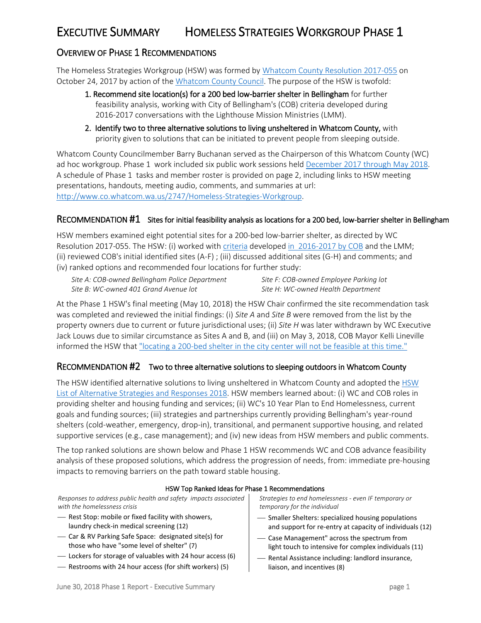## EXECUTIVE SUMMARY HOMELESS STRATEGIES WORKGROUP PHASE 1

### OVERVIEW OF PHASE 1 RECOMMENDATIONS

The Homeless Strategies Workgroup (HSW) was formed by [Whatcom County Resolution 2017-055](hhttp://documents.whatcomcounty.us/weblink8/0/doc/4207806/Page1.aspx?searchid=6aa5b93b-9368-4909-a0b1-a00f962c1733) on October 24, 2017 by action of th[e Whatcom County Council.](http://www.co.whatcom.wa.us/2747/Homeless-Strategies-Workgroup) The purpose of the HSW is twofold:

- 1. Recommend site location(s) for a 200 bed low-barrier shelter in Bellingham for further feasibility analysis, working with City of Bellingham's (COB) criteria developed during 2016-2017 conversations with the Lighthouse Mission Ministries (LMM).
- 2. Identify two to three alternative solutions to living unsheltered in Whatcom County, with priority given to solutions that can be initiated to prevent people from sleeping outside.

Whatcom County Councilmember Barry Buchanan served as the Chairperson of this Whatcom County (WC) ad hoc workgroup. Phase 1 work included six public work sessions hel[d December 2017 through](http://www.co.whatcom.wa.us/2748/Homeless-Strategies-Workgroup-Meeting-In) May 2018. A schedule of Phase 1 tasks and member roster is provided on page 2, including links to HSW meeting presentations, handouts, meeting audio, comments, and summaries at url: [http://www.co.whatcom.wa.us/2747/Homeless-Strategies-Workgroup.](http://www.co.whatcom.wa.us/2747/Homeless-Strategies-Workgroup)

#### RECOMMENDATION #1 Sites for initial feasibility analysis as locations for a 200 bed, low-barrier shelter in Bellingham

HSW members examined eight potential sites for a 200-bed low-barrier shelter, as directed by WC Resolution 2017-055. The HSW: (i) worked with [criteria](http://www.co.whatcom.wa.us/DocumentCenter/View/32195/CriteriaCommentsQuestionsHandout?bidId=) develope[d in 2016-2017 by COB](http://www.co.whatcom.wa.us/DocumentCenter/View/32303/HomelessStrategiesWG_2017Dec19_SummaryDraftforReviewF?bidId=) and the LMM; (ii) reviewed COB's initial identified sites (A-F) ; (iii) discussed additional sites (G-H) and comments; and (iv) ranked options and recommended four locations for further study:

| Site A: COB-owned Bellingham Police Department | Site F: COB-owned Employee Parking lot |
|------------------------------------------------|----------------------------------------|
| Site B: WC-owned 401 Grand Avenue lot          | Site H: WC-owned Health Department     |

At the Phase 1 HSW's final meeting (May 10, 2018) the HSW Chair confirmed the site recommendation task was completed and reviewed the initial findings: (i) *Site A* and *Site B* were removed from the list by the property owners due to current or future jurisdictional uses; (ii) *Site H* was later withdrawn by WC Executive Jack Louws due to similar circumstance as Sites A and B, and (iii) on May 3, 2018, COB Mayor Kelli Lineville informed the HSW that ["locating a 200-bed shelter in the city center will not be feasible](http://www.co.whatcom.wa.us/DocumentCenter/View/34056/05032018-Linville---Homeless-Shelter-Update) at this time."

#### RECOMMENDATION #2 Two to three alternative solutions to sleeping outdoors in Whatcom County

The HSW identified alternative solutions to living unsheltered in Whatcom County and adopted the [HSW](http://www.co.whatcom.wa.us/DocumentCenter/View/34071/HSW-Responses-and-Strategies-for-51018-RankingF)  [List of Alternative Strategies and Responses 2018.](http://www.co.whatcom.wa.us/DocumentCenter/View/34071/HSW-Responses-and-Strategies-for-51018-RankingF) HSW members learned about: (i) WC and COB roles in providing shelter and housing funding and services; (ii) WC's 10 Year Plan to End Homelessness, current goals and funding sources; (iii) strategies and partnerships currently providing Bellingham's year-round shelters (cold-weather, emergency, drop-in), transitional, and permanent supportive housing, and related supportive services (e.g., case management); and (iv) new ideas from HSW members and public comments.

The top ranked solutions are shown below and Phase 1 HSW recommends WC and COB advance feasibility analysis of these proposed solutions, which address the progression of needs, from: immediate pre-housing impacts to removing barriers on the path toward stable housing.

#### HSW Top Ranked Ideas for Phase 1 Recommendations

*Responses to address public health and safety impacts associated with the homelessness crisis*

- Rest Stop: mobile or fixed facility with showers, laundry check-in medical screening (12)
- Car & RV Parking Safe Space: designated site(s) for those who have "some level of shelter" (7)
- Lockers for storage of valuables with 24 hour access (6)
- Restrooms with 24 hour access (for shift workers) (5)

*Strategies to end homelessness - even IF temporary or temporary for the individual*

- Smaller Shelters: specialized housing populations and support for re-entry at capacity of individuals (12)
- Case Management" across the spectrum from light touch to intensive for complex individuals (11)
- Rental Assistance including: landlord insurance, liaison, and incentives (8)